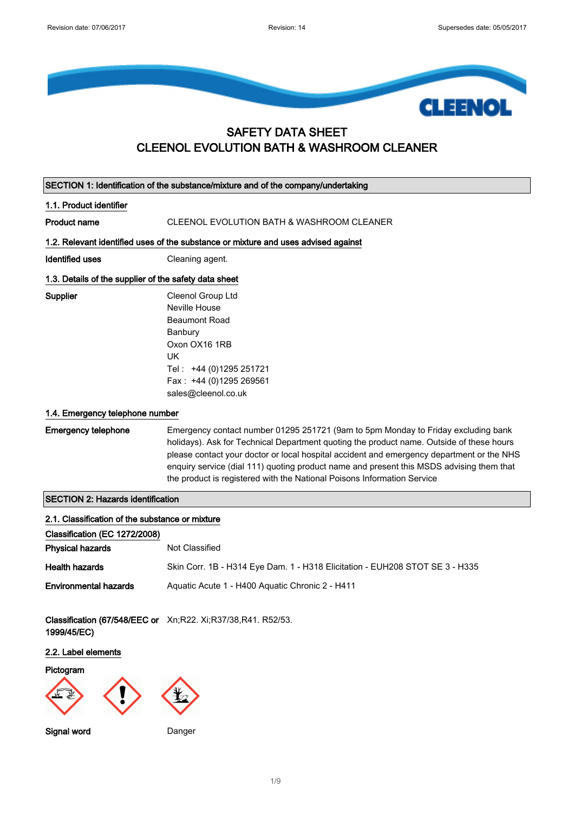

#### SAFETY DATA SHEET CLEENOL EVOLUTION BATH & WASHROOM CLEANER

| SECTION 1: Identification of the substance/mixture and of the company/undertaking |                                                                                                                                                                                                                                                                                                                                                                                                                                                   |  |
|-----------------------------------------------------------------------------------|---------------------------------------------------------------------------------------------------------------------------------------------------------------------------------------------------------------------------------------------------------------------------------------------------------------------------------------------------------------------------------------------------------------------------------------------------|--|
| 1.1. Product identifier                                                           |                                                                                                                                                                                                                                                                                                                                                                                                                                                   |  |
| <b>Product name</b>                                                               | CLEENOL EVOLUTION BATH & WASHROOM CLEANER                                                                                                                                                                                                                                                                                                                                                                                                         |  |
|                                                                                   | 1.2. Relevant identified uses of the substance or mixture and uses advised against                                                                                                                                                                                                                                                                                                                                                                |  |
| <b>Identified uses</b>                                                            | Cleaning agent.                                                                                                                                                                                                                                                                                                                                                                                                                                   |  |
| 1.3. Details of the supplier of the safety data sheet                             |                                                                                                                                                                                                                                                                                                                                                                                                                                                   |  |
| Supplier                                                                          | Cleenol Group Ltd<br><b>Neville House</b><br><b>Beaumont Road</b><br>Banbury<br>Oxon OX16 1RB<br><b>UK</b><br>Tel: +44 (0)1295 251721<br>Fax: +44 (0)1295 269561<br>sales@cleenol.co.uk                                                                                                                                                                                                                                                           |  |
| 1.4. Emergency telephone number                                                   |                                                                                                                                                                                                                                                                                                                                                                                                                                                   |  |
| <b>Emergency telephone</b>                                                        | Emergency contact number 01295 251721 (9am to 5pm Monday to Friday excluding bank<br>holidays). Ask for Technical Department quoting the product name. Outside of these hours<br>please contact your doctor or local hospital accident and emergency department or the NHS<br>enquiry service (dial 111) quoting product name and present this MSDS advising them that<br>the product is registered with the National Poisons Information Service |  |
| <b>SECTION 2: Hazards identification</b>                                          |                                                                                                                                                                                                                                                                                                                                                                                                                                                   |  |
| 2.1. Classification of the substance or mixture                                   |                                                                                                                                                                                                                                                                                                                                                                                                                                                   |  |
| Classification (EC 1272/2008)                                                     |                                                                                                                                                                                                                                                                                                                                                                                                                                                   |  |
| <b>Physical hazards</b>                                                           | Not Classified                                                                                                                                                                                                                                                                                                                                                                                                                                    |  |
| <b>Health hazards</b>                                                             | Skin Corr. 1B - H314 Eye Dam. 1 - H318 Elicitation - EUH208 STOT SE 3 - H335                                                                                                                                                                                                                                                                                                                                                                      |  |
| <b>Environmental hazards</b>                                                      | Aquatic Acute 1 - H400 Aquatic Chronic 2 - H411                                                                                                                                                                                                                                                                                                                                                                                                   |  |
| 1999/45/EC)                                                                       | Classification (67/548/EEC or Xn;R22. Xi;R37/38,R41. R52/53.                                                                                                                                                                                                                                                                                                                                                                                      |  |
| 2.2. Label elements                                                               |                                                                                                                                                                                                                                                                                                                                                                                                                                                   |  |
| Pictogram                                                                         |                                                                                                                                                                                                                                                                                                                                                                                                                                                   |  |
| Signal word                                                                       | Danger                                                                                                                                                                                                                                                                                                                                                                                                                                            |  |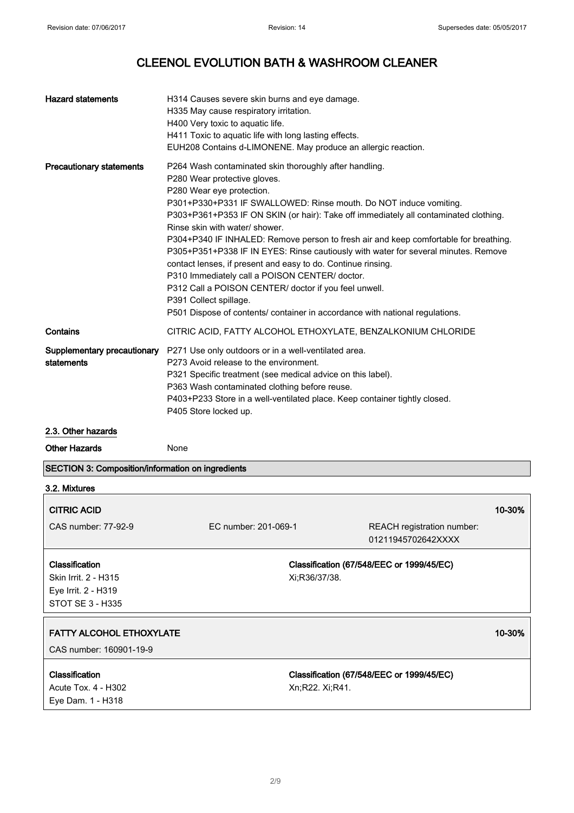$\overline{\phantom{0}}$ 

| <b>Hazard statements</b>                                 | H314 Causes severe skin burns and eye damage.<br>H335 May cause respiratory irritation.<br>H400 Very toxic to aquatic life.<br>H411 Toxic to aquatic life with long lasting effects.<br>EUH208 Contains d-LIMONENE. May produce an allergic reaction.                                                                                                                                                                                                                                                                                                                                                                                                                                                                                                                                 |
|----------------------------------------------------------|---------------------------------------------------------------------------------------------------------------------------------------------------------------------------------------------------------------------------------------------------------------------------------------------------------------------------------------------------------------------------------------------------------------------------------------------------------------------------------------------------------------------------------------------------------------------------------------------------------------------------------------------------------------------------------------------------------------------------------------------------------------------------------------|
| <b>Precautionary statements</b>                          | P264 Wash contaminated skin thoroughly after handling.<br>P280 Wear protective gloves.<br>P280 Wear eye protection.<br>P301+P330+P331 IF SWALLOWED: Rinse mouth. Do NOT induce vomiting.<br>P303+P361+P353 IF ON SKIN (or hair): Take off immediately all contaminated clothing.<br>Rinse skin with water/ shower.<br>P304+P340 IF INHALED: Remove person to fresh air and keep comfortable for breathing.<br>P305+P351+P338 IF IN EYES: Rinse cautiously with water for several minutes. Remove<br>contact lenses, if present and easy to do. Continue rinsing.<br>P310 Immediately call a POISON CENTER/ doctor.<br>P312 Call a POISON CENTER/ doctor if you feel unwell.<br>P391 Collect spillage.<br>P501 Dispose of contents/ container in accordance with national regulations. |
| Contains                                                 | CITRIC ACID, FATTY ALCOHOL ETHOXYLATE, BENZALKONIUM CHLORIDE                                                                                                                                                                                                                                                                                                                                                                                                                                                                                                                                                                                                                                                                                                                          |
| Supplementary precautionary<br>statements                | P271 Use only outdoors or in a well-ventilated area.<br>P273 Avoid release to the environment.<br>P321 Specific treatment (see medical advice on this label).<br>P363 Wash contaminated clothing before reuse.<br>P403+P233 Store in a well-ventilated place. Keep container tightly closed.<br>P405 Store locked up.                                                                                                                                                                                                                                                                                                                                                                                                                                                                 |
| 2.3. Other hazards                                       |                                                                                                                                                                                                                                                                                                                                                                                                                                                                                                                                                                                                                                                                                                                                                                                       |
| <b>Other Hazards</b>                                     | None                                                                                                                                                                                                                                                                                                                                                                                                                                                                                                                                                                                                                                                                                                                                                                                  |
| <b>SECTION 3: Composition/information on ingredients</b> |                                                                                                                                                                                                                                                                                                                                                                                                                                                                                                                                                                                                                                                                                                                                                                                       |
| 3.2. Mixtures                                            |                                                                                                                                                                                                                                                                                                                                                                                                                                                                                                                                                                                                                                                                                                                                                                                       |

| <b>CITRIC ACID</b>                                         |                      |                                                  | 10-30% |
|------------------------------------------------------------|----------------------|--------------------------------------------------|--------|
| CAS number: 77-92-9                                        | EC number: 201-069-1 | REACH registration number:<br>01211945702642XXXX |        |
| <b>Classification</b><br>Skin Irrit. 2 - H315              | Xi:R36/37/38.        | Classification (67/548/EEC or 1999/45/EC)        |        |
| Eye Irrit. 2 - H319<br>STOT SE 3 - H335                    |                      |                                                  |        |
| <b>FATTY ALCOHOL ETHOXYLATE</b>                            |                      |                                                  | 10-30% |
| CAS number: 160901-19-9                                    |                      |                                                  |        |
| Classification<br>Acute Tox. 4 - H302<br>Eye Dam. 1 - H318 | Xn:R22. Xi:R41.      | Classification (67/548/EEC or 1999/45/EC)        |        |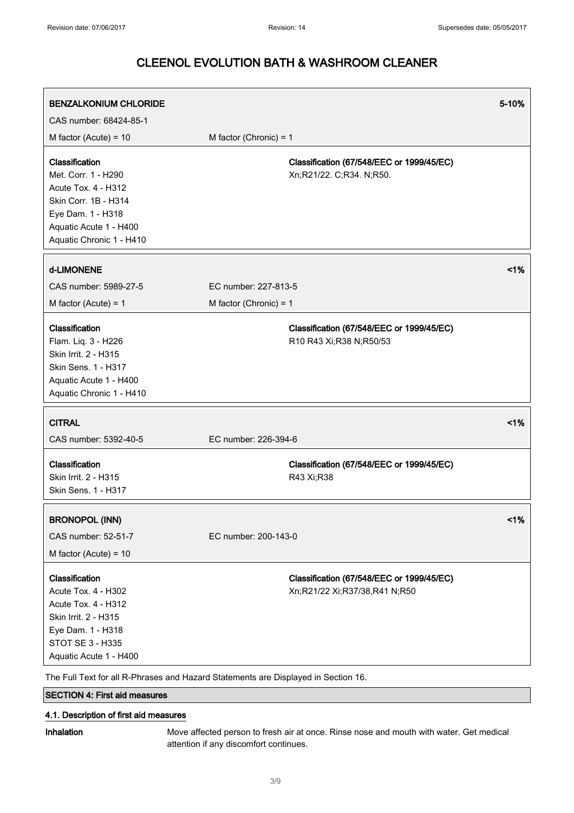| <b>BENZALKONIUM CHLORIDE</b><br>CAS number: 68424-85-1                                                                                                          |                                                                                    | 5-10% |
|-----------------------------------------------------------------------------------------------------------------------------------------------------------------|------------------------------------------------------------------------------------|-------|
| M factor (Acute) = $10$                                                                                                                                         | M factor (Chronic) = $1$                                                           |       |
| Classification<br>Met. Corr. 1 - H290<br>Acute Tox. 4 - H312<br>Skin Corr. 1B - H314<br>Eye Dam. 1 - H318<br>Aquatic Acute 1 - H400<br>Aquatic Chronic 1 - H410 | Classification (67/548/EEC or 1999/45/EC)<br>Xn;R21/22. C;R34. N;R50.              |       |
| d-LIMONENE                                                                                                                                                      |                                                                                    | 1%    |
| CAS number: 5989-27-5                                                                                                                                           | EC number: 227-813-5                                                               |       |
| M factor (Acute) = $1$                                                                                                                                          | M factor (Chronic) = $1$                                                           |       |
| Classification<br>Flam. Liq. 3 - H226<br>Skin Irrit. 2 - H315<br><b>Skin Sens. 1 - H317</b><br>Aquatic Acute 1 - H400<br>Aquatic Chronic 1 - H410               | Classification (67/548/EEC or 1999/45/EC)<br>R10 R43 Xi; R38 N; R50/53             |       |
| <b>CITRAL</b>                                                                                                                                                   |                                                                                    | 1%    |
| CAS number: 5392-40-5                                                                                                                                           | EC number: 226-394-6                                                               |       |
| Classification<br>Skin Irrit. 2 - H315<br>Skin Sens. 1 - H317                                                                                                   | Classification (67/548/EEC or 1999/45/EC)<br>R43 Xi;R38                            |       |
| <b>BRONOPOL (INN)</b>                                                                                                                                           |                                                                                    | 1%    |
| CAS number: 52-51-7                                                                                                                                             | EC number: 200-143-0                                                               |       |
| M factor (Acute) = $10$                                                                                                                                         |                                                                                    |       |
| Classification<br>Acute Tox. 4 - H302<br><b>Acute Tox. 4 - H312</b><br>Skin Irrit. 2 - H315<br>Eye Dam. 1 - H318<br>STOT SE 3 - H335<br>Aquatic Acute 1 - H400  | Classification (67/548/EEC or 1999/45/EC)<br>Xn;R21/22 Xi;R37/38,R41 N;R50         |       |
|                                                                                                                                                                 | The Full Text for all R-Phrases and Hazard Statements are Displayed in Section 16. |       |

SECTION 4: First aid measures

#### 4.1. Description of first aid measures

Inhalation Move affected person to fresh air at once. Rinse nose and mouth with water. Get medical attention if any discomfort continues.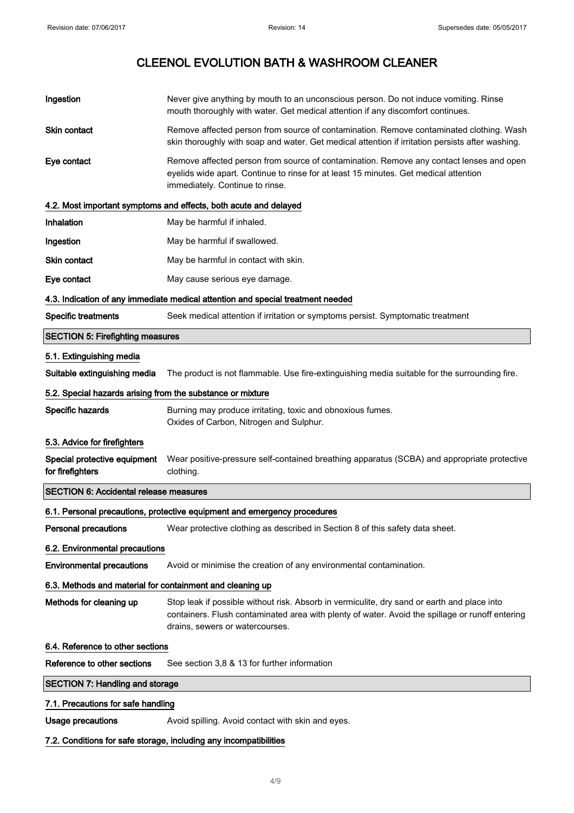| Ingestion                                                  | Never give anything by mouth to an unconscious person. Do not induce vomiting. Rinse<br>mouth thoroughly with water. Get medical attention if any discomfort continues.                                                           |  |
|------------------------------------------------------------|-----------------------------------------------------------------------------------------------------------------------------------------------------------------------------------------------------------------------------------|--|
| Skin contact                                               | Remove affected person from source of contamination. Remove contaminated clothing. Wash<br>skin thoroughly with soap and water. Get medical attention if irritation persists after washing.                                       |  |
| Eye contact                                                | Remove affected person from source of contamination. Remove any contact lenses and open<br>eyelids wide apart. Continue to rinse for at least 15 minutes. Get medical attention<br>immediately. Continue to rinse.                |  |
|                                                            | 4.2. Most important symptoms and effects, both acute and delayed                                                                                                                                                                  |  |
| Inhalation                                                 | May be harmful if inhaled.                                                                                                                                                                                                        |  |
| Ingestion                                                  | May be harmful if swallowed.                                                                                                                                                                                                      |  |
| <b>Skin contact</b>                                        | May be harmful in contact with skin.                                                                                                                                                                                              |  |
| Eye contact                                                | May cause serious eye damage.                                                                                                                                                                                                     |  |
|                                                            | 4.3. Indication of any immediate medical attention and special treatment needed                                                                                                                                                   |  |
| <b>Specific treatments</b>                                 | Seek medical attention if irritation or symptoms persist. Symptomatic treatment                                                                                                                                                   |  |
| <b>SECTION 5: Firefighting measures</b>                    |                                                                                                                                                                                                                                   |  |
| 5.1. Extinguishing media                                   |                                                                                                                                                                                                                                   |  |
| Suitable extinguishing media                               | The product is not flammable. Use fire-extinguishing media suitable for the surrounding fire.                                                                                                                                     |  |
| 5.2. Special hazards arising from the substance or mixture |                                                                                                                                                                                                                                   |  |
| Specific hazards                                           | Burning may produce irritating, toxic and obnoxious fumes.<br>Oxides of Carbon, Nitrogen and Sulphur.                                                                                                                             |  |
| 5.3. Advice for firefighters                               |                                                                                                                                                                                                                                   |  |
| Special protective equipment<br>for firefighters           | Wear positive-pressure self-contained breathing apparatus (SCBA) and appropriate protective<br>clothing.                                                                                                                          |  |
| <b>SECTION 6: Accidental release measures</b>              |                                                                                                                                                                                                                                   |  |
|                                                            | 6.1. Personal precautions, protective equipment and emergency procedures                                                                                                                                                          |  |
| <b>Personal precautions</b>                                | Wear protective clothing as described in Section 8 of this safety data sheet.                                                                                                                                                     |  |
| 6.2. Environmental precautions                             |                                                                                                                                                                                                                                   |  |
| <b>Environmental precautions</b>                           | Avoid or minimise the creation of any environmental contamination.                                                                                                                                                                |  |
| 6.3. Methods and material for containment and cleaning up  |                                                                                                                                                                                                                                   |  |
| Methods for cleaning up                                    | Stop leak if possible without risk. Absorb in vermiculite, dry sand or earth and place into<br>containers. Flush contaminated area with plenty of water. Avoid the spillage or runoff entering<br>drains, sewers or watercourses. |  |
| 6.4. Reference to other sections                           |                                                                                                                                                                                                                                   |  |
| Reference to other sections                                | See section 3,8 & 13 for further information                                                                                                                                                                                      |  |
| <b>SECTION 7: Handling and storage</b>                     |                                                                                                                                                                                                                                   |  |
| 7.1. Precautions for safe handling                         |                                                                                                                                                                                                                                   |  |
| <b>Usage precautions</b>                                   | Avoid spilling. Avoid contact with skin and eyes.                                                                                                                                                                                 |  |

#### 7.2. Conditions for safe storage, including any incompatibilities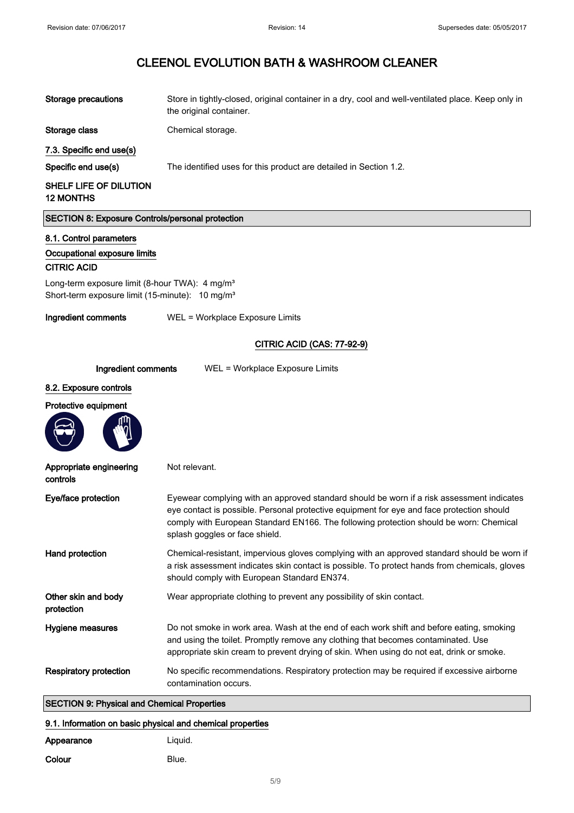| <b>Storage precautions</b>                                                                                                | Store in tightly-closed, original container in a dry, cool and well-ventilated place. Keep only in<br>the original container.                                                                                                                                                                                      |
|---------------------------------------------------------------------------------------------------------------------------|--------------------------------------------------------------------------------------------------------------------------------------------------------------------------------------------------------------------------------------------------------------------------------------------------------------------|
| Storage class                                                                                                             | Chemical storage.                                                                                                                                                                                                                                                                                                  |
| 7.3. Specific end use(s)                                                                                                  |                                                                                                                                                                                                                                                                                                                    |
| Specific end use(s)                                                                                                       | The identified uses for this product are detailed in Section 1.2.                                                                                                                                                                                                                                                  |
| SHELF LIFE OF DILUTION<br><b>12 MONTHS</b>                                                                                |                                                                                                                                                                                                                                                                                                                    |
| <b>SECTION 8: Exposure Controls/personal protection</b>                                                                   |                                                                                                                                                                                                                                                                                                                    |
| 8.1. Control parameters                                                                                                   |                                                                                                                                                                                                                                                                                                                    |
| Occupational exposure limits<br><b>CITRIC ACID</b>                                                                        |                                                                                                                                                                                                                                                                                                                    |
| Long-term exposure limit (8-hour TWA): 4 mg/m <sup>3</sup><br>Short-term exposure limit (15-minute): 10 mg/m <sup>3</sup> |                                                                                                                                                                                                                                                                                                                    |
| Ingredient comments                                                                                                       | WEL = Workplace Exposure Limits                                                                                                                                                                                                                                                                                    |
|                                                                                                                           | <b>CITRIC ACID (CAS: 77-92-9)</b>                                                                                                                                                                                                                                                                                  |
|                                                                                                                           |                                                                                                                                                                                                                                                                                                                    |
| Ingredient comments                                                                                                       | WEL = Workplace Exposure Limits                                                                                                                                                                                                                                                                                    |
| 8.2. Exposure controls<br>Protective equipment                                                                            |                                                                                                                                                                                                                                                                                                                    |
|                                                                                                                           |                                                                                                                                                                                                                                                                                                                    |
| Appropriate engineering<br>controls                                                                                       | Not relevant.                                                                                                                                                                                                                                                                                                      |
| Eye/face protection                                                                                                       | Eyewear complying with an approved standard should be worn if a risk assessment indicates<br>eye contact is possible. Personal protective equipment for eye and face protection should<br>comply with European Standard EN166. The following protection should be worn: Chemical<br>splash goggles or face shield. |
| Hand protection                                                                                                           | Chemical-resistant, impervious gloves complying with an approved standard should be worn if<br>a risk assessment indicates skin contact is possible. To protect hands from chemicals, gloves<br>should comply with European Standard EN374.                                                                        |
| Other skin and body<br>protection                                                                                         | Wear appropriate clothing to prevent any possibility of skin contact.                                                                                                                                                                                                                                              |
| Hygiene measures                                                                                                          | Do not smoke in work area. Wash at the end of each work shift and before eating, smoking<br>and using the toilet. Promptly remove any clothing that becomes contaminated. Use<br>appropriate skin cream to prevent drying of skin. When using do not eat, drink or smoke.                                          |
| <b>Respiratory protection</b>                                                                                             | No specific recommendations. Respiratory protection may be required if excessive airborne<br>contamination occurs.                                                                                                                                                                                                 |
| <b>SECTION 9: Physical and Chemical Properties</b>                                                                        |                                                                                                                                                                                                                                                                                                                    |
| 9.1. Information on basic physical and chemical properties                                                                |                                                                                                                                                                                                                                                                                                                    |

| Appearance | Liguid. |
|------------|---------|
| Colour     | Blue.   |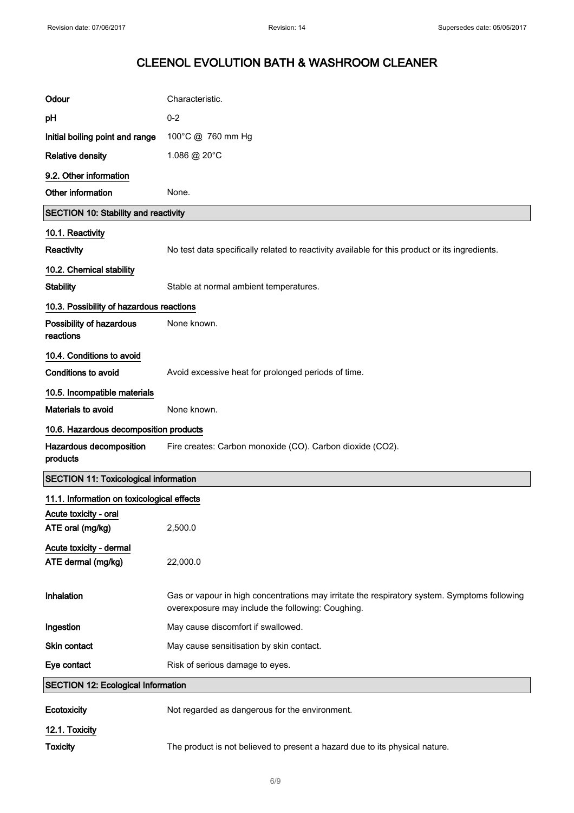| Odour                                         | Characteristic.                                                                                                                                   |
|-----------------------------------------------|---------------------------------------------------------------------------------------------------------------------------------------------------|
| pH                                            | $0 - 2$                                                                                                                                           |
| Initial boiling point and range               | 100°C @ 760 mm Hg                                                                                                                                 |
| <b>Relative density</b>                       | 1.086 @ 20°C                                                                                                                                      |
| 9.2. Other information                        |                                                                                                                                                   |
| Other information                             | None.                                                                                                                                             |
| <b>SECTION 10: Stability and reactivity</b>   |                                                                                                                                                   |
| 10.1. Reactivity                              |                                                                                                                                                   |
| Reactivity                                    | No test data specifically related to reactivity available for this product or its ingredients.                                                    |
| 10.2. Chemical stability                      |                                                                                                                                                   |
| <b>Stability</b>                              | Stable at normal ambient temperatures.                                                                                                            |
| 10.3. Possibility of hazardous reactions      |                                                                                                                                                   |
| Possibility of hazardous<br>reactions         | None known.                                                                                                                                       |
| 10.4. Conditions to avoid                     |                                                                                                                                                   |
| <b>Conditions to avoid</b>                    | Avoid excessive heat for prolonged periods of time.                                                                                               |
| 10.5. Incompatible materials                  |                                                                                                                                                   |
| <b>Materials to avoid</b>                     | None known.                                                                                                                                       |
| 10.6. Hazardous decomposition products        |                                                                                                                                                   |
| Hazardous decomposition<br>products           | Fire creates: Carbon monoxide (CO). Carbon dioxide (CO2).                                                                                         |
| <b>SECTION 11: Toxicological information</b>  |                                                                                                                                                   |
| 11.1. Information on toxicological effects    |                                                                                                                                                   |
| Acute toxicity - oral<br>ATE oral (mg/kg)     | 2,500.0                                                                                                                                           |
| Acute toxicity - dermal<br>ATE dermal (mg/kg) | 22,000.0                                                                                                                                          |
| Inhalation                                    | Gas or vapour in high concentrations may irritate the respiratory system. Symptoms following<br>overexposure may include the following: Coughing. |
| Ingestion                                     | May cause discomfort if swallowed.                                                                                                                |
| Skin contact                                  | May cause sensitisation by skin contact.                                                                                                          |
| Eye contact                                   | Risk of serious damage to eyes.                                                                                                                   |
| <b>SECTION 12: Ecological Information</b>     |                                                                                                                                                   |
| Ecotoxicity                                   | Not regarded as dangerous for the environment.                                                                                                    |
| 12.1. Toxicity                                |                                                                                                                                                   |
| <b>Toxicity</b>                               | The product is not believed to present a hazard due to its physical nature.                                                                       |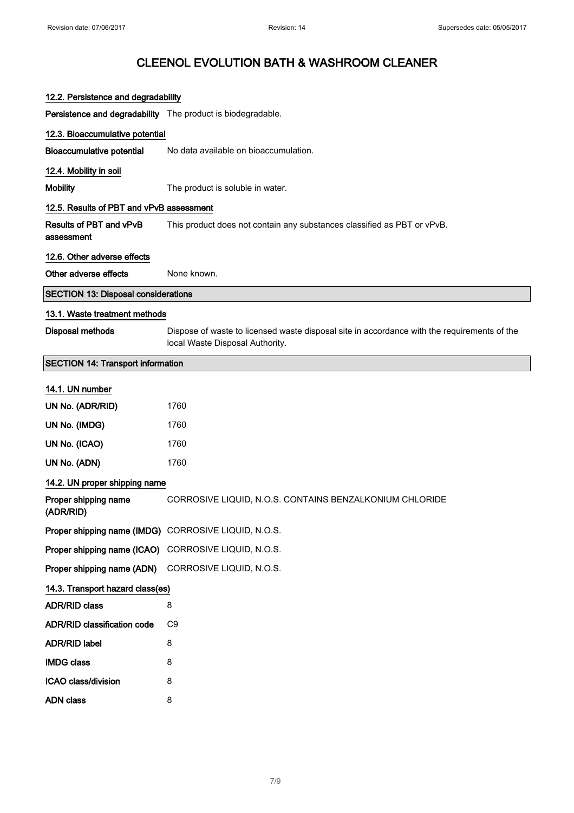| 12.2. Persistence and degradability                         |                                                                                                                                |
|-------------------------------------------------------------|--------------------------------------------------------------------------------------------------------------------------------|
| Persistence and degradability The product is biodegradable. |                                                                                                                                |
| 12.3. Bioaccumulative potential                             |                                                                                                                                |
| <b>Bioaccumulative potential</b>                            | No data available on bioaccumulation.                                                                                          |
| 12.4. Mobility in soil                                      |                                                                                                                                |
| <b>Mobility</b>                                             | The product is soluble in water.                                                                                               |
| 12.5. Results of PBT and vPvB assessment                    |                                                                                                                                |
| <b>Results of PBT and vPvB</b><br>assessment                | This product does not contain any substances classified as PBT or vPvB.                                                        |
| 12.6. Other adverse effects                                 |                                                                                                                                |
| Other adverse effects                                       | None known.                                                                                                                    |
| <b>SECTION 13: Disposal considerations</b>                  |                                                                                                                                |
| 13.1. Waste treatment methods                               |                                                                                                                                |
| <b>Disposal methods</b>                                     | Dispose of waste to licensed waste disposal site in accordance with the requirements of the<br>local Waste Disposal Authority. |
| <b>SECTION 14: Transport information</b>                    |                                                                                                                                |
| 14.1. UN number                                             |                                                                                                                                |
| UN No. (ADR/RID)                                            | 1760                                                                                                                           |
| UN No. (IMDG)                                               | 1760                                                                                                                           |
| UN No. (ICAO)                                               | 1760                                                                                                                           |
| UN No. (ADN)                                                | 1760                                                                                                                           |
| 14.2. UN proper shipping name                               |                                                                                                                                |
| Proper shipping name<br>(ADR/RID)                           | CORROSIVE LIQUID, N.O.S. CONTAINS BENZALKONIUM CHLORIDE                                                                        |
| Proper shipping name (IMDG) CORROSIVE LIQUID, N.O.S.        |                                                                                                                                |
| Proper shipping name (ICAO) CORROSIVE LIQUID, N.O.S.        |                                                                                                                                |
| Proper shipping name (ADN)                                  | CORROSIVE LIQUID, N.O.S.                                                                                                       |
| 14.3. Transport hazard class(es)                            |                                                                                                                                |
| <b>ADR/RID class</b>                                        | 8                                                                                                                              |
| <b>ADR/RID classification code</b>                          | C9                                                                                                                             |
| <b>ADR/RID label</b>                                        | 8                                                                                                                              |
| <b>IMDG class</b>                                           | 8                                                                                                                              |
| ICAO class/division                                         | 8                                                                                                                              |
| <b>ADN class</b>                                            | 8                                                                                                                              |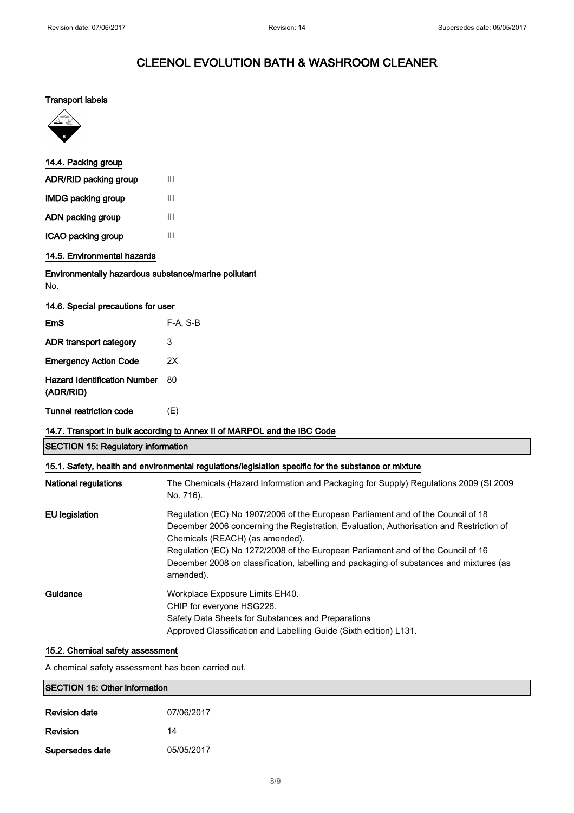#### Transport labels



| 14.4. Packing group                                                      |          |  |
|--------------------------------------------------------------------------|----------|--|
| ADR/RID packing group                                                    | Ш        |  |
| <b>IMDG packing group</b>                                                | Ш        |  |
| ADN packing group                                                        | III      |  |
| ICAO packing group                                                       | III      |  |
| 14.5. Environmental hazards                                              |          |  |
| Environmentally hazardous substance/marine pollutant<br>No.              |          |  |
| 14.6. Special precautions for user                                       |          |  |
| EmS                                                                      | F-A, S-B |  |
| ADR transport category                                                   | 3        |  |
| <b>Emergency Action Code</b>                                             | 2X       |  |
| <b>Hazard Identification Number</b><br>(ADR/RID)                         | 80       |  |
| <b>Tunnel restriction code</b>                                           | (E)      |  |
| 14.7. Transport in bulk according to Annex II of MARPOL and the IBC Code |          |  |

SECTION 15: Regulatory information

| 15.1. Safety, health and environmental regulations/legislation specific for the substance or mixture |                                                                                                                                                                                                                                                                                                                                                                                                            |  |
|------------------------------------------------------------------------------------------------------|------------------------------------------------------------------------------------------------------------------------------------------------------------------------------------------------------------------------------------------------------------------------------------------------------------------------------------------------------------------------------------------------------------|--|
| <b>National regulations</b>                                                                          | The Chemicals (Hazard Information and Packaging for Supply) Regulations 2009 (SI 2009<br>No. 716).                                                                                                                                                                                                                                                                                                         |  |
| EU legislation                                                                                       | Regulation (EC) No 1907/2006 of the European Parliament and of the Council of 18<br>December 2006 concerning the Registration, Evaluation, Authorisation and Restriction of<br>Chemicals (REACH) (as amended).<br>Regulation (EC) No 1272/2008 of the European Parliament and of the Council of 16<br>December 2008 on classification, labelling and packaging of substances and mixtures (as<br>amended). |  |
| Guidance                                                                                             | Workplace Exposure Limits EH40.<br>CHIP for everyone HSG228.<br>Safety Data Sheets for Substances and Preparations<br>Approved Classification and Labelling Guide (Sixth edition) L131.                                                                                                                                                                                                                    |  |

#### 15.2. Chemical safety assessment

A chemical safety assessment has been carried out.

| <b>SECTION 16: Other information</b> |            |
|--------------------------------------|------------|
| <b>Revision date</b>                 | 07/06/2017 |
| <b>Revision</b>                      | 14         |
| Supersedes date                      | 05/05/2017 |